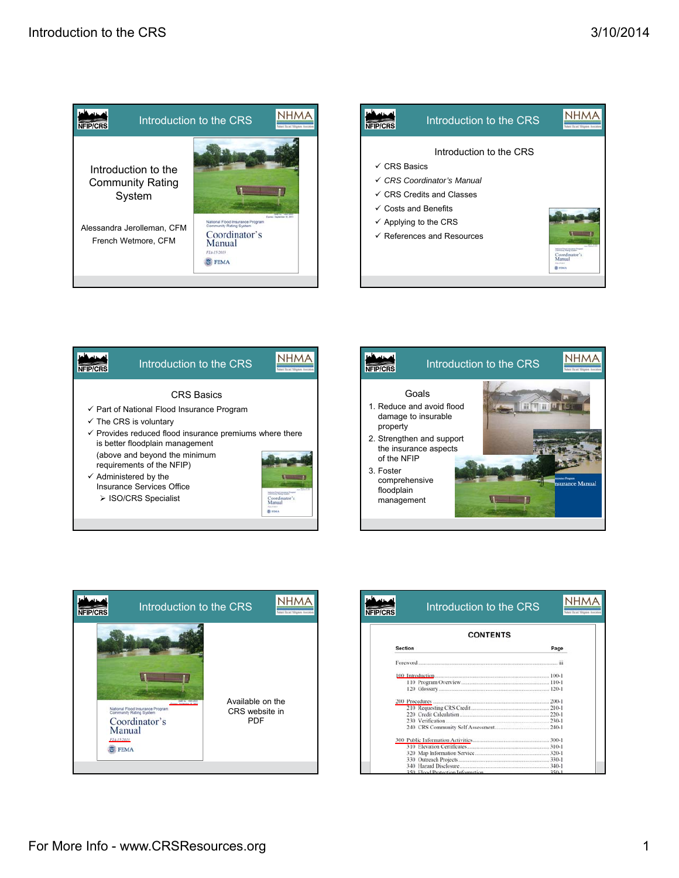









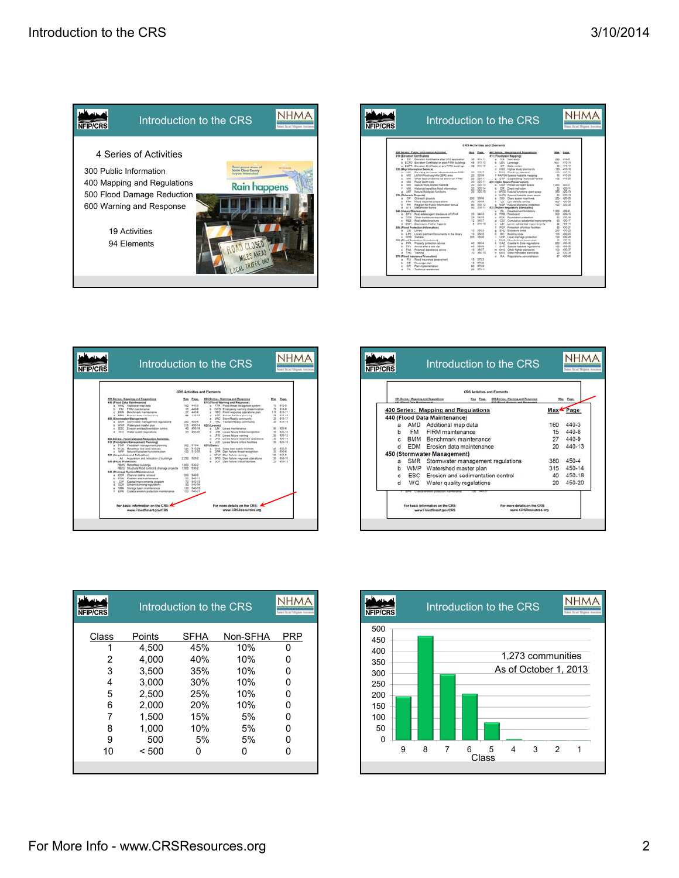

|                                                                                               |                 |                | Introduction to the CRS                                                                  |                   | <b>NHMA</b>                        |
|-----------------------------------------------------------------------------------------------|-----------------|----------------|------------------------------------------------------------------------------------------|-------------------|------------------------------------|
| <b>NFIP/CRS</b>                                                                               |                 |                |                                                                                          |                   | <b>Need Board Magatin Averages</b> |
|                                                                                               |                 |                | <b>CRS Activities and Elements</b>                                                       |                   |                                    |
| 200 Series: Public Information Activities.<br>310 (Elevation Certificates)                    |                 | Max Page       | 400 Series: Mapping and Regulations<br>410 (Floodplain Mapping)                          | Max.              | Fage.                              |
| a <b>BC</b> Elevation Certificates when CRS application                                       | 18              | 310/11         | a NS Newstudy                                                                            |                   | 410.6                              |
| ECFO Equippe Cartificate on neet-FIRM buildings<br>٠                                          | $\overline{a}$  | 010.13         | LEV Leverage<br>٠                                                                        | N/A               | 410.14                             |
| c ECPR Elevation Certificate on pre-FIRM buildings                                            | no.             | 310,16         | CH<br><b>Diste review</b><br>$\overline{\phantom{a}}$                                    | 40                | 450.58                             |
| 120 (Map Information Service)<br>Providing insurance information from FIRM<br>SELL.<br>$\sim$ | nn.             | \$55.7         | <b>WER</b><br>Higher study standards<br>×<br>a First Floodyey standard                   | 180<br><b>KKO</b> | 410.18<br>210.21                   |
| LARAWAREAU WECERS area<br>Mr2                                                                 | 20              | 555.6          | F. MAPSH Special National mezong                                                         | 5m                | 410.24                             |
| MIS.<br>Other Rood problems not ahours an FIRM<br>٠                                           | 56              | 355-11         | g CTP Cooperating Technical Partner                                                      | vid.              | 410.35                             |
| Mi4<br>Found death data<br>٠                                                                  | 55              | 320.11         | 439 (Open Space Preservation)                                                            |                   |                                    |
| <b>MOR</b><br>Spacial Rood-related hazards<br>٠                                               | $\overline{ }$  | 320.13         | a CISP Preserved noon space                                                              | 1,450             | 420.3                              |
| ×<br>AAHE.<br>Historical/repetitive flood information                                         | $20 -$          | 325-14         | $k<$ C/R<br>Deed restriction.                                                            | 50                | 430-11                             |
| <b>Natural Roodplain EuroSome</b><br>MI7<br>ż                                                 | 55              | 155.15         | NFOS Türknal functions coen space                                                        | 353               | 430.15                             |
| 130 (Chairmach Projecte)                                                                      |                 |                | SHOS Special hazards span space<br>٠                                                     | 50                | 420.19                             |
| <b>CP</b><br>Culmach projects<br>×                                                            | 200             | 330.6          | <b>OB</b><br>Open space incentives<br>٠                                                  | 250               | 425.20                             |
| Flood response preparations                                                                   |                 | 330-8          | LZ<br>Low density goning                                                                 | 600               | 420-26                             |
| Program for Public Information bonus<br>÷                                                     | m               | 110.12         | NSP<br>Natural shoreline protection                                                      | 820               | 420.25                             |
| <b>Shakeholder borrus</b><br>STK.                                                             | 62              | $226 + 2$      | 430 Display Regulatory Standards)                                                        |                   |                                    |
| <b>342 (Harard Disclosure)</b>                                                                |                 |                | $\alpha$<br>Development Installons<br>٠                                                  | 0.950             | 4354                               |
| DFH Real estate agent disclosure of SFHA.<br>٠                                                | M               | 540.3          | FRA<br>Freehound<br>٠                                                                    | too               | 430.10                             |
| COR<br>Other disclosure requirements<br>٠                                                     | $\mathbb{R}^n$  | 345.5<br>545.7 | PON<br>Foundation protection.<br>٠                                                       | <b>M</b>          | 435.16<br>430-17                   |
| sin e.<br>Real estate brochure                                                                | 12<br>$\lambda$ | 340.10         | CSI<br>×.<br>Cumulative substantial improvements                                         | 40 <sub>0</sub>   | 430-19                             |
| DOH Disclosure of other hapards<br>á.                                                         |                 |                | LSI<br>Louier substantial improvements<br>٠<br>PCF<br>Protection of critical facilities. | 20<br>8b          | 430-21                             |
| <b>353 (Flood Protection Information)</b><br>×                                                | 13              | 555.5          | <b>ENL</b><br><b>Encineurs limits</b>                                                    | 5an               | 430.25                             |
| LIB Library<br>LPD Locally perforent documents in the library                                 | 10              | 555.5          | BC<br>Building code<br>$\rightarrow$                                                     | 500               | 430.25                             |
| WES Website                                                                                   | <b>IDS</b>      | 350.4          | sne<br>Local drainage protection                                                         | 120               | 430.29                             |
| 160 (Fined Protection Assistance)                                                             |                 |                | Manufactured home next<br><b>MHP</b>                                                     |                   | 15 495.31                          |
| <b>FRA</b><br>Property protection advice<br>٠                                                 | $\overline{1}$  | $365 - 4$      | CAZ<br>Coastal A Zone regulators<br>×                                                    | 450               | 435.32                             |
| Advice after a wite visit<br><b>Well</b>                                                      | 45              | 565-6          | ٠<br><b>SHR</b><br>Special hadants requisitors                                           | tdd               | 430.35                             |
| FAA.<br>Financial associance advice:                                                          | 15.             | 360-7          | Other higher standards<br>OHS<br>$\overline{\phantom{a}}$                                | 100               | 430.37                             |
| <b>TMG</b><br>Training                                                                        | 15              | 565.10         | <b>DAAR</b><br>State-mandated standards<br>٠                                             | $20 - 20$         | 430.35                             |
| 170 (Fixed Insurance Promotion)                                                               |                 |                | HA.<br>Regulations administration                                                        | er.               | 430.45                             |
| FiA.<br>Final inscriptio assessment                                                           | 15.             | 170.5          |                                                                                          |                   |                                    |
| ce<br>Coverage plan                                                                           | 15              | 170.4          |                                                                                          |                   |                                    |
| Plan implementation<br>CPL<br>٠                                                               | 60              | 370.9          |                                                                                          |                   |                                    |
| Technical assistance<br>٠<br>TA.                                                              | 26              | 370.11         |                                                                                          |                   |                                    |

| NFIP/CRS                                                                                         |                                    | Introduction to the CRS                                                             | <b>NHMA</b><br>ded Real Mitgaws Avenues | Introduction to the CRS<br>NFIP/CRS                                                                         |
|--------------------------------------------------------------------------------------------------|------------------------------------|-------------------------------------------------------------------------------------|-----------------------------------------|-------------------------------------------------------------------------------------------------------------|
|                                                                                                  | <b>CRS Activities and Elements</b> |                                                                                     |                                         | <b>CRS Activities and Elements</b>                                                                          |
| 400 Series: Mapping and Regulations<br>440 (Flood Data Maintenance)                              | Page.<br>Max                       | \$00 Series: Warning and Response<br><b><i>E10 (Fixed Warning and Response)</i></b> | Mas Page                                | 400 Series: Mapping and Regulation<br>\$00 Series: Warning and Response<br>ab discount from Minimized       |
| a AMD Additional man data<br>FM FIRM maintenance                                                 | 160 440.3<br>15 445.8              | a FTR Flood threat recognition system<br>EWD Emergency warning diseasmination       | 76 613.5<br>75 615.8                    |                                                                                                             |
| <b>BMM Benchmark maintenance</b>                                                                 | 27 445 9                           | FRO Flood response contations zian                                                  | 115 610-11                              | 400 Series: Mapping and Regulations                                                                         |
| EDM Erceion data maintenance<br>450 (Stormwater Management)                                      | 35 445-13                          | CFP Crocer facilities planning<br>a SRC StornReady community                        | T6 615.15<br>25 610-17                  | 440 (Flood Data Maintenance)                                                                                |
| SMR Stermvater management regulations                                                            | 380 450-4                          | TRC Taunam/Ready community                                                          | 50 615-18                               |                                                                                                             |
| 5 WMP Watershed master plan<br>ESC Erosion and sedmentation control                              | 315 450-14<br>40 450-18            | 420 (Levens)<br>1.86<br>Leure mantenance<br>$\sim$                                  | 95. 620-6                               | AMD<br>Additional map data<br>a                                                                             |
| d WG Water quality regulators.                                                                   | 20 455-20                          | b LFR Leves falure threat recognition                                               | 35 835-10                               | <b>FM</b><br>FIRM maintenance                                                                               |
|                                                                                                  |                                    | x LFW Leves failure varning<br>d UFO Leves failure response operations              | 50 635.13<br>30 630-14                  |                                                                                                             |
| 500 Series: Flood Damage Reduction Activities.<br>510 (Floodplain Management Planning)           |                                    | e LCF Leves falure critical facilities                                              | 50 620-14                               | <b>BMM</b><br>Benchmark maintenance                                                                         |
| a FMP Floodstein management starving<br>5 FLAA Repetitive time area produce                      | 382 310-4<br>140 810-29            | 630 (Dame)                                                                          | 45 830.5                                | <b>EDM</b><br>Erosion data maintenance                                                                      |
| <b>NFP</b> Transmit Renderland Americans plan                                                    | 100 510-35                         | 855<br>State dark safety program.<br>CFR Dam falure threat recognition              | 30 630-6                                |                                                                                                             |
| 530 (Acquisition and Relocation)                                                                 |                                    | DPW Dam failure warning                                                             | 35 830-8<br>50 653.10                   | 450 (Stormwater Management)                                                                                 |
| Al Acquisition and relocation of buildings<br>530 (Flood Protection)                             | 2.250 520-2                        | DFO Dam failure response operations<br>a CCF Dam falure tritical facilities         | 20 633-12                               | <b>SMR</b><br>Stormwater management regulations<br>я                                                        |
| PB(R) Hamofded buildings<br>PB/S) Structural fined control & dramage projects                    | 1,600 530-2<br>1.000 635.2         |                                                                                     |                                         | Watershed master plan<br>WMP<br>b                                                                           |
| 540 (Drainage System Maintenance)                                                                |                                    |                                                                                     |                                         |                                                                                                             |
| COR Channel debris removal<br><b>PIRAL</b>                                                       | 200<br>540-5<br>50 540-11          |                                                                                     |                                         | <b>ESC</b><br>Erosion and sedimentation control                                                             |
| Problem site maintenance<br>CIP.<br>Capital Improvements program                                 | 70 540-13                          |                                                                                     |                                         | WQ<br>Water quality regulations<br>d                                                                        |
| -509<br>Stream dumping regulations                                                               | 33 540.16                          |                                                                                     |                                         |                                                                                                             |
| <b>COM</b><br>Storage basin maintenance<br>Clipstal entered protection maintenance<br><b>EPM</b> | 120 540-18<br>100 540-21           |                                                                                     |                                         | EPM Caastal erosion prefection marriervance                                                                 |
| For basic information on the CRS:<br>www.FloodSmart.gov/CRS                                      |                                    | For more details on the CRS<br>www.CRSResources.org                                 |                                         | For basic information on the CRS:<br>For more details on the C<br>www.CRSResource<br>www.FloodSmart.gov/CRS |

|   |                                                                         | <b>CRS Activities and Elements</b>            |     |          |
|---|-------------------------------------------------------------------------|-----------------------------------------------|-----|----------|
|   | 400 Series: Mapping and Regulations<br><b>AR IFLIAN FLAG Maintenant</b> | Mas Page<br>\$00 Series: Warning and Response |     | Page     |
|   |                                                                         | <b>400 Series: Mapping and Regulations</b>    |     | Max Page |
|   |                                                                         | 440 (Flood Data Maintenance)                  |     |          |
| a |                                                                         | AMD Additional map data                       | 160 | 440-3    |
| b | <b>FM</b>                                                               | FIRM maintenance                              | 15  | 440-8    |
| c |                                                                         | BMM Benchmark maintenance                     | 27  | 440-9    |
| d | <b>EDM</b>                                                              | Erosion data maintenance                      | 20  | 440-13   |
|   |                                                                         | 450 (Stormwater Management)                   |     |          |
| я | <b>SMR</b>                                                              | Stormwater management regulations             | 380 | 450-4    |
| b |                                                                         | WMP Watershed master plan                     | 315 | 450-14   |
| c | <b>ESC</b>                                                              | Erosion and sedimentation control             | 40  | 450-18   |
| d | <b>WQ</b>                                                               | Water quality regulations                     | 20  | 450-20   |

| <b>NFIP/CRS</b> |        | Introduction to the CRS |          |            |
|-----------------|--------|-------------------------|----------|------------|
| Class           | Points | SFHA                    | Non-SFHA | <b>PRP</b> |
|                 | 4.500  | 45%                     | 10%      | n          |
| 2               | 4.000  | 40%                     | 10%      |            |
| 3               | 3,500  | 35%                     | 10%      | U          |
| 4               | 3.000  | 30%                     | 10%      | ŋ          |
| 5               | 2.500  | 25%                     | 10%      | O          |
| 6               | 2.000  | <b>20%</b>              | 10%      | U          |
| 7               | 1.500  | 15%                     | 5%       | ი          |
| 8               | 1,000  | 10%                     | 5%       | n          |
| 9               | 500    | 5%                      | 5%       | U          |
| 10              | < 500  | n                       | O        |            |
|                 |        |                         |          |            |

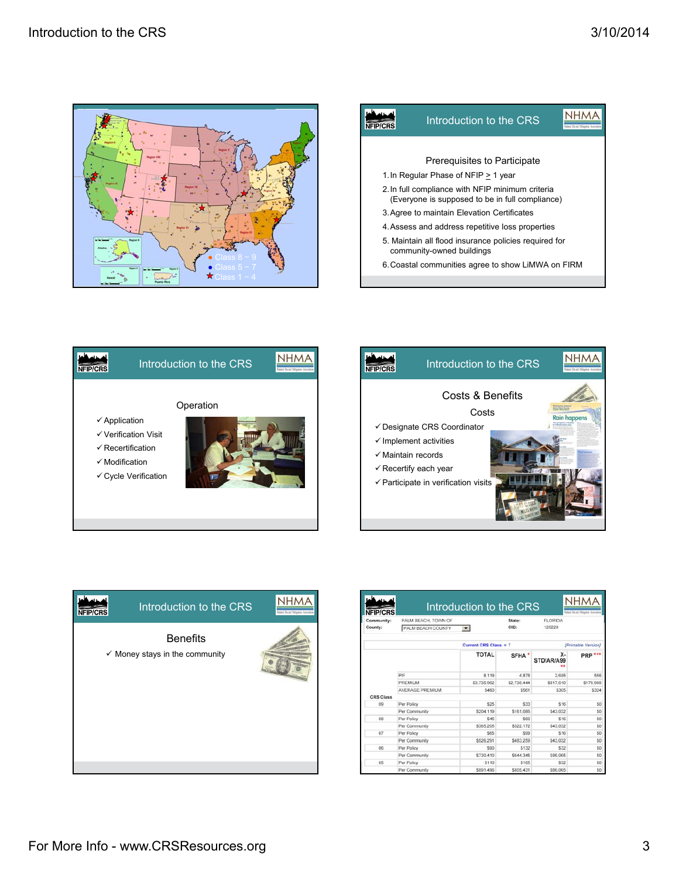







| <b>NFIP/CRS</b> | Introduction to the CRS                                      |  |
|-----------------|--------------------------------------------------------------|--|
|                 | <b>Benefits</b><br>$\checkmark$ Money stays in the community |  |
|                 |                                                              |  |

| Community:<br>County: | PALM BEACH, TOWN OF<br>PALM BEACH COUNTY | $\mathbf{r}$          | State:<br>CID:    | <b>FLORIDA</b><br>120220 |                     |
|-----------------------|------------------------------------------|-----------------------|-------------------|--------------------------|---------------------|
|                       |                                          | Current CRS Class = 7 |                   |                          | (Printable Version) |
|                       |                                          | <b>TOTAL</b>          | SFHA <sup>*</sup> | x-<br>STD/AR/A99         | PRP ***             |
|                       | PIF                                      | 8.119                 | 4.878             | 2.685                    | 556                 |
|                       | PREMIUM                                  | \$3,735.962           | \$2,738,444       | \$817,610                | \$179,908           |
|                       | AVERAGE PREMIUM                          | \$460                 | \$561             | \$305                    | \$324               |
| <b>CRS Class</b>      |                                          |                       |                   |                          |                     |
| 09                    | Per Policy                               | <b>S25</b>            | \$33              | \$16                     | SO                  |
|                       | Per Community                            | \$204.119             | \$161,086         | \$43.032                 | \$0                 |
| 08                    | Per Policy                               | \$45                  | \$66              | \$16                     | \$0                 |
|                       | Per Community                            | \$365,205             | \$322.172         | S43.032                  | \$O                 |
| O7                    | Per Policy                               | \$65                  | \$99              | \$16                     | SO                  |
|                       | Per Community                            | \$526.291             | S483.259          | S43.032                  | S <sub>0</sub>      |
| 06                    | Per Policy                               | \$90                  | \$132             | \$32                     | \$O                 |
|                       | Per Community                            | \$730.410             | \$644 345         | \$86,065                 | \$0                 |
| 05                    | Per Policy                               | \$110                 | \$165             | \$32                     | \$0                 |
|                       | Per Community                            | \$891.496             | \$805.431         | \$86,065                 | \$ô                 |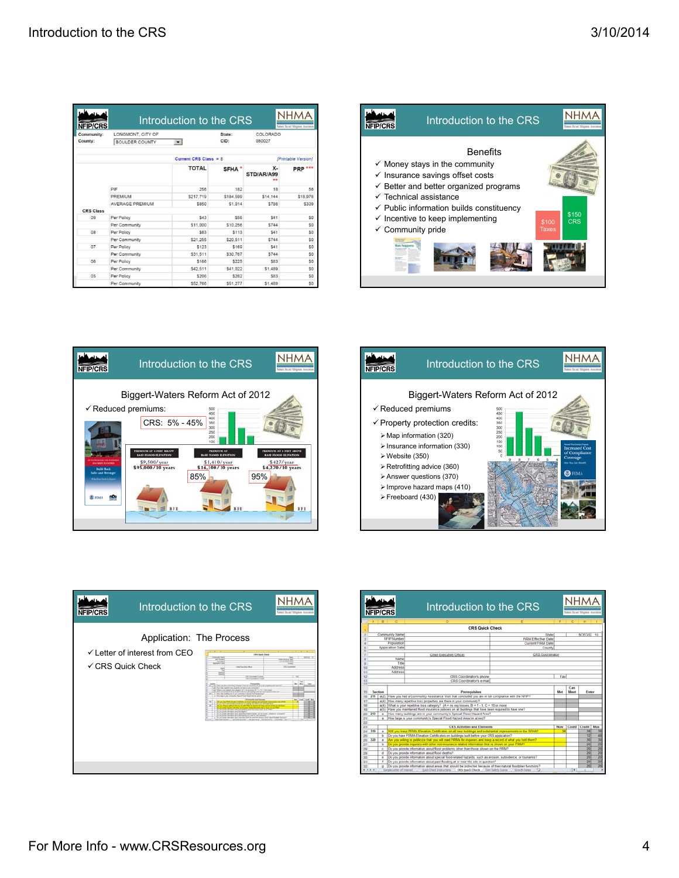| NFIP/CRS              |                                            | Introduction to the CRS |                |                         | <b>Mark Road Mitgates Avenues</b> |
|-----------------------|--------------------------------------------|-------------------------|----------------|-------------------------|-----------------------------------|
| Community:<br>County: | LONGMONT, CITY OF<br><b>BOULDER COUNTY</b> | $\blacksquare$          | State:<br>CID: | COLORADO<br>080027      |                                   |
|                       |                                            | Current CRS Class = $8$ |                |                         | [Printable Version]               |
|                       |                                            | <b>TOTAL</b>            | <b>SFHA</b>    | х.<br>STD/AR/A99<br>د د | <b>PRP ***</b>                    |
|                       | PIF                                        | 256                     | 182            | 18                      | 56                                |
|                       | PREMIUM                                    | \$217.719               | \$184,599      | \$14,144                | \$18,976                          |
|                       | AVERAGE PREMIUM                            | \$850                   | \$1.014        | \$786                   | \$339                             |
| <b>CRS Class</b>      |                                            |                         |                |                         |                                   |
| na                    | Per Policy                                 | \$43                    | \$56           | \$41                    | \$0                               |
|                       | Per Community                              | \$11,000                | \$10,256       | \$744                   | \$0                               |
| 08                    | Per Policy                                 | \$83                    | \$113          | \$41                    | SO                                |
|                       | Per Community                              | \$21,255                | \$20.511       | \$744                   | \$0                               |
| 07                    | Per Policy                                 | \$123                   | \$169          | \$41                    | SO                                |
|                       | Per Community                              | \$31.511                | \$30.767       | <b>\$744</b>            | \$O                               |
| 06                    | Per Policy                                 | \$166                   | \$225          | \$83                    | \$O                               |
|                       | Per Community                              | \$42,511                | \$41.022       | \$1,489                 | \$O                               |
| 05                    | Per Policy                                 | \$206                   | \$282          | \$83                    | \$O                               |
|                       | Per Community                              | \$52,766                | \$51,277       | \$1,489                 | \$0                               |









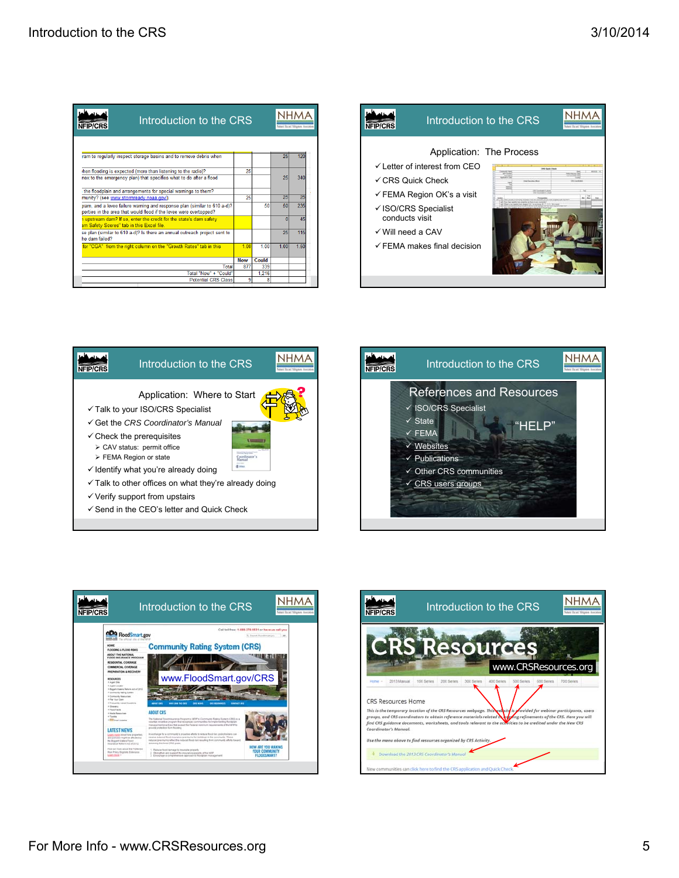| Introduction to the CRS<br><b>FIP/CRS</b>                                                                                                       |            |       | and Brutt Monton |      |
|-------------------------------------------------------------------------------------------------------------------------------------------------|------------|-------|------------------|------|
|                                                                                                                                                 |            |       |                  |      |
| ram to regularly inspect storage basins and to remove debris when                                                                               |            |       | 25               | 120  |
| then flooding is expected (more than listening to the radio)?                                                                                   | 25         |       |                  |      |
| nex to the emergency plan) that specifies what to do after a flood                                                                              |            |       | 25               | 340  |
| the floodplain and arrangements for special warnings to them?                                                                                   |            |       |                  |      |
| munity? (see www.stormready.noaa.gov/).                                                                                                         | 25         |       | 25               | 25   |
| pram, and a levee failure warning and response plan (similar to 610 a-d)?<br>perties in the area that would flood if the levee were overtopped? |            | 50    | 50               | 235  |
| a upstream dam? If so, enter the credit for the state's dam safety<br>am Safety Scores" tab in this Excel file.                                 |            |       | n                | 45   |
| se plan (similar to 610 a-d)? Is there an annual outreach project sent to<br>he dam failed?                                                     |            |       | 25               | 115  |
| for "CGA" from the right column on the "Growth Rates" tab in this                                                                               | 1.00       | 1.00  | 1.00             | 1.50 |
|                                                                                                                                                 | <b>Now</b> | Could |                  |      |
| <b>Total</b>                                                                                                                                    | 877        | 339   |                  |      |
| Total "Now" + "Could"                                                                                                                           |            | 1.216 |                  |      |
| <b>Potential CRS Class</b>                                                                                                                      | 9          | я     |                  |      |